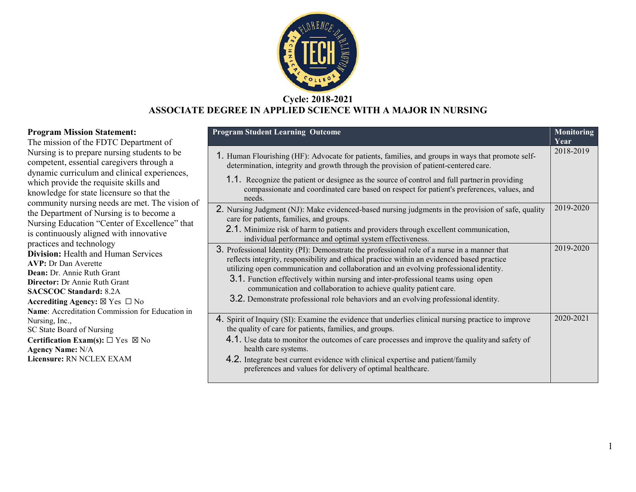

## **Cycle: 2018-2021 ASSOCIATE DEGREE IN APPLIED SCIENCE WITH A MAJOR IN NURSING**

#### **Program Mission Statement:**

The mission of the FDTC Department of Nursing is to prepare nursing students to be competent, essential caregivers through a dynamic curriculum and clinical experiences, which provide the requisite skills and knowledge for state licensure so that the community nursing needs are met. The vision of the Department of Nursing is to become a Nursing Education "Center of Excellence" that is continuously aligned with innovative practices and technology **Division:** Health and Human Services **AVP:** Dr Dan Averette **Dean:** Dr. Annie Ruth Grant **Director:** Dr Annie Ruth Grant **SACSCOC Standard:** 8.2A **Accrediting Agency:** ☒ Yes ☐ No **Name**: Accreditation Commission for Education in Nursing, Inc., SC State Board of Nursing **Certification Exam(s):** ☐ Yes ☒ No **Agency Name:** N/A **Licensure:** RN NCLEX EXAM

| <b>Program Student Learning Outcome</b>                                                                                                                                                                                                                                             | <b>Monitoring</b><br>Year |
|-------------------------------------------------------------------------------------------------------------------------------------------------------------------------------------------------------------------------------------------------------------------------------------|---------------------------|
| 1. Human Flourishing (HF): Advocate for patients, families, and groups in ways that promote self-<br>determination, integrity and growth through the provision of patient-centered care.                                                                                            | 2018-2019                 |
| 1.1. Recognize the patient or designee as the source of control and full partner in providing<br>compassionate and coordinated care based on respect for patient's preferences, values, and<br>needs.                                                                               |                           |
| 2. Nursing Judgment (NJ): Make evidenced-based nursing judgments in the provision of safe, quality<br>care for patients, families, and groups.                                                                                                                                      | 2019-2020                 |
| 2.1. Minimize risk of harm to patients and providers through excellent communication,<br>individual performance and optimal system effectiveness.                                                                                                                                   |                           |
| 3. Professional Identity (PI): Demonstrate the professional role of a nurse in a manner that<br>reflects integrity, responsibility and ethical practice within an evidenced based practice<br>utilizing open communication and collaboration and an evolving professional identity. | 2019-2020                 |
| 3.1. Function effectively within nursing and inter-professional teams using open<br>communication and collaboration to achieve quality patient care.                                                                                                                                |                           |
| 3.2. Demonstrate professional role behaviors and an evolving professional identity.                                                                                                                                                                                                 |                           |
| 4. Spirit of Inquiry (SI): Examine the evidence that underlies clinical nursing practice to improve<br>the quality of care for patients, families, and groups.                                                                                                                      | 2020-2021                 |
| 4.1. Use data to monitor the outcomes of care processes and improve the quality and safety of<br>health care systems.                                                                                                                                                               |                           |
| 4.2. Integrate best current evidence with clinical expertise and patient/family<br>preferences and values for delivery of optimal healthcare.                                                                                                                                       |                           |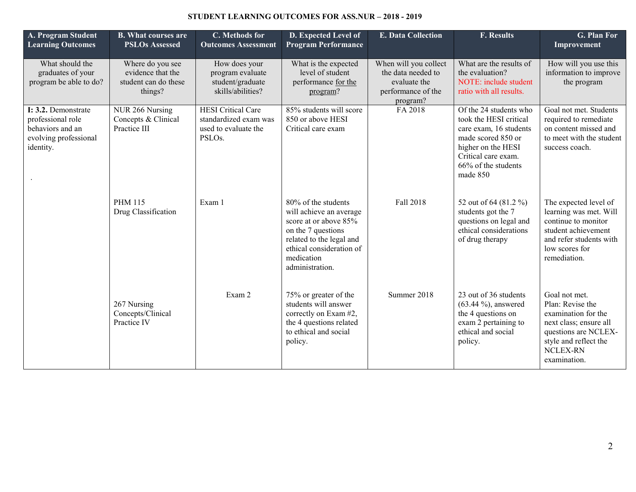#### **STUDENT LEARNING OUTCOMES FOR ASS.NUR – 2018 - 2019**

| A. Program Student<br><b>Learning Outcomes</b>                                                     | <b>B.</b> What courses are<br><b>PSLOs Assessed</b>                      | C. Methods for<br><b>Outcomes Assessment</b>                                                      | D. Expected Level of<br><b>Program Performance</b>                                                                                                                                     | <b>E. Data Collection</b>                                                                     | <b>F. Results</b>                                                                                                                                                                | G. Plan For<br>Improvement                                                                                                                                             |
|----------------------------------------------------------------------------------------------------|--------------------------------------------------------------------------|---------------------------------------------------------------------------------------------------|----------------------------------------------------------------------------------------------------------------------------------------------------------------------------------------|-----------------------------------------------------------------------------------------------|----------------------------------------------------------------------------------------------------------------------------------------------------------------------------------|------------------------------------------------------------------------------------------------------------------------------------------------------------------------|
| What should the<br>graduates of your<br>program be able to do?                                     | Where do you see<br>evidence that the<br>student can do these<br>things? | How does your<br>program evaluate<br>student/graduate<br>skills/abilities?                        | What is the expected<br>level of student<br>performance for the<br>program?                                                                                                            | When will you collect<br>the data needed to<br>evaluate the<br>performance of the<br>program? | What are the results of<br>the evaluation?<br>NOTE: include student<br>ratio with all results.                                                                                   | How will you use this<br>information to improve<br>the program                                                                                                         |
| I: 3.2. Demonstrate<br>professional role<br>behaviors and an<br>evolving professional<br>identity. | NUR 266 Nursing<br>Concepts & Clinical<br>Practice III                   | <b>HESI</b> Critical Care<br>standardized exam was<br>used to evaluate the<br>PSLO <sub>s</sub> . | 85% students will score<br>850 or above HESI<br>Critical care exam                                                                                                                     | FA 2018                                                                                       | Of the 24 students who<br>took the HESI critical<br>care exam, 16 students<br>made scored 850 or<br>higher on the HESI<br>Critical care exam.<br>66% of the students<br>made 850 | Goal not met. Students<br>required to remediate<br>on content missed and<br>to meet with the student<br>success coach.                                                 |
|                                                                                                    | <b>PHM 115</b><br>Drug Classification                                    | Exam 1                                                                                            | 80% of the students<br>will achieve an average<br>score at or above 85%<br>on the 7 questions<br>related to the legal and<br>ethical consideration of<br>medication<br>administration. | Fall 2018                                                                                     | 52 out of 64 (81.2 %)<br>students got the 7<br>questions on legal and<br>ethical considerations<br>of drug therapy                                                               | The expected level of<br>learning was met. Will<br>continue to monitor<br>student achievement<br>and refer students with<br>low scores for<br>remediation.             |
|                                                                                                    | 267 Nursing<br>Concepts/Clinical<br>Practice IV                          | Exam 2                                                                                            | 75% or greater of the<br>students will answer<br>correctly on Exam #2,<br>the 4 questions related<br>to ethical and social<br>policy.                                                  | Summer 2018                                                                                   | 23 out of 36 students<br>$(63.44\%)$ , answered<br>the 4 questions on<br>exam 2 pertaining to<br>ethical and social<br>policy.                                                   | Goal not met.<br>Plan: Revise the<br>examination for the<br>next class; ensure all<br>questions are NCLEX-<br>style and reflect the<br><b>NCLEX-RN</b><br>examination. |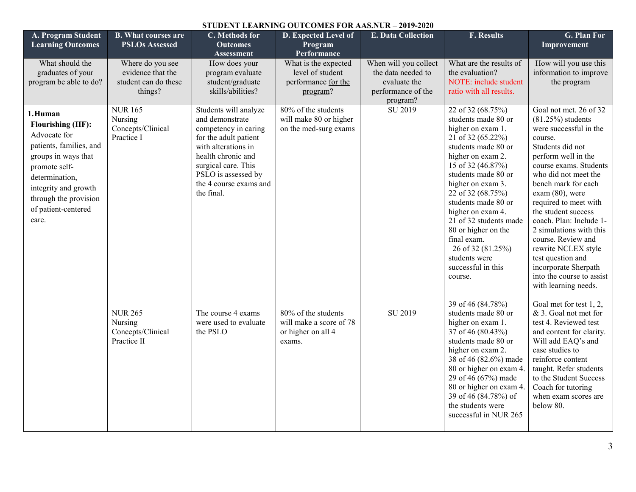| STUDENT LEARNING OUTCOMES FOR AAS.NUR - 2019-2020                                                                                                                                                                         |                                                                          |                                                                                                                                                                                                                              |                                                                                |                                                                                               |                                                                                                                                                                                                                                                                                                                                                                                                         |                                                                                                                                                                                                                                                                                                                                                                                                                                                                                  |  |  |  |
|---------------------------------------------------------------------------------------------------------------------------------------------------------------------------------------------------------------------------|--------------------------------------------------------------------------|------------------------------------------------------------------------------------------------------------------------------------------------------------------------------------------------------------------------------|--------------------------------------------------------------------------------|-----------------------------------------------------------------------------------------------|---------------------------------------------------------------------------------------------------------------------------------------------------------------------------------------------------------------------------------------------------------------------------------------------------------------------------------------------------------------------------------------------------------|----------------------------------------------------------------------------------------------------------------------------------------------------------------------------------------------------------------------------------------------------------------------------------------------------------------------------------------------------------------------------------------------------------------------------------------------------------------------------------|--|--|--|
| A. Program Student<br><b>Learning Outcomes</b>                                                                                                                                                                            | <b>B.</b> What courses are<br><b>PSLOs Assessed</b>                      | C. Methods for<br><b>Outcomes</b><br>Assessment                                                                                                                                                                              | D. Expected Level of<br>Program<br>Performance                                 | <b>E. Data Collection</b>                                                                     | <b>F. Results</b>                                                                                                                                                                                                                                                                                                                                                                                       | <b>G. Plan For</b><br>Improvement                                                                                                                                                                                                                                                                                                                                                                                                                                                |  |  |  |
| What should the<br>graduates of your<br>program be able to do?                                                                                                                                                            | Where do you see<br>evidence that the<br>student can do these<br>things? | How does your<br>program evaluate<br>student/graduate<br>skills/abilities?                                                                                                                                                   | What is the expected<br>level of student<br>performance for the<br>program?    | When will you collect<br>the data needed to<br>evaluate the<br>performance of the<br>program? | What are the results of<br>the evaluation?<br>NOTE: include student<br>ratio with all results.                                                                                                                                                                                                                                                                                                          | How will you use this<br>information to improve<br>the program                                                                                                                                                                                                                                                                                                                                                                                                                   |  |  |  |
| 1.Human<br><b>Flourishing (HF):</b><br>Advocate for<br>patients, families, and<br>groups in ways that<br>promote self-<br>determination,<br>integrity and growth<br>through the provision<br>of patient-centered<br>care. | <b>NUR165</b><br>Nursing<br>Concepts/Clinical<br>Practice I              | Students will analyze<br>and demonstrate<br>competency in caring<br>for the adult patient<br>with alterations in<br>health chronic and<br>surgical care. This<br>PSLO is assessed by<br>the 4 course exams and<br>the final. | 80% of the students<br>will make 80 or higher<br>on the med-surg exams         | SU 2019                                                                                       | 22 of 32 (68.75%)<br>students made 80 or<br>higher on exam 1.<br>21 of 32 (65.22%)<br>students made 80 or<br>higher on exam 2.<br>15 of 32 (46.87%)<br>students made 80 or<br>higher on exam 3.<br>22 of 32 (68.75%)<br>students made 80 or<br>higher on exam 4.<br>21 of 32 students made<br>80 or higher on the<br>final exam.<br>26 of 32 (81.25%)<br>students were<br>successful in this<br>course. | Goal not met. 26 of 32<br>$(81.25%)$ students<br>were successful in the<br>course.<br>Students did not<br>perform well in the<br>course exams. Students<br>who did not meet the<br>bench mark for each<br>$exam(80)$ , were<br>required to meet with<br>the student success<br>coach. Plan: Include 1-<br>2 simulations with this<br>course. Review and<br>rewrite NCLEX style<br>test question and<br>incorporate Sherpath<br>into the course to assist<br>with learning needs. |  |  |  |
|                                                                                                                                                                                                                           | <b>NUR 265</b><br>Nursing<br>Concepts/Clinical<br>Practice II            | The course 4 exams<br>were used to evaluate<br>the PSLO                                                                                                                                                                      | 80% of the students<br>will make a score of 78<br>or higher on all 4<br>exams. | SU 2019                                                                                       | 39 of 46 (84.78%)<br>students made 80 or<br>higher on exam 1.<br>37 of 46 (80.43%)<br>students made 80 or<br>higher on exam 2.<br>38 of 46 (82.6%) made<br>80 or higher on exam 4.<br>29 of 46 (67%) made<br>80 or higher on exam 4.<br>39 of 46 (84.78%) of<br>the students were<br>successful in NUR 265                                                                                              | Goal met for test 1, 2,<br>& 3. Goal not met for<br>test 4. Reviewed test<br>and content for clarity.<br>Will add EAQ's and<br>case studies to<br>reinforce content<br>taught. Refer students<br>to the Student Success<br>Coach for tutoring<br>when exam scores are<br>below 80.                                                                                                                                                                                               |  |  |  |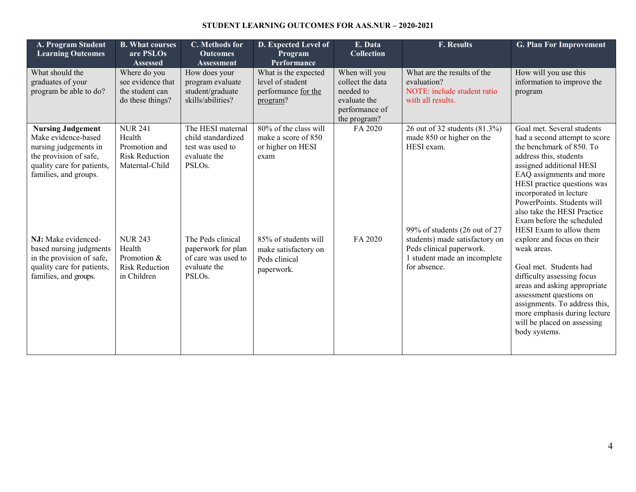#### **STUDENT LEARNING OUTCOMES FOR AAS.NUR – 2020-2021**

| A. Program Student<br><b>Learning Outcomes</b>                                                                                                                                                                                                                                                  | <b>B. What courses</b><br>are PSLOs<br>Assessed                                                                                                                         | C. Methods for<br><b>Outcomes</b><br>Assessment                                                                                                                                                             | D. Expected Level of<br>Program<br>Performance                                                                                                           | E. Data<br><b>Collection</b>                                                                     | <b>F. Results</b>                                                                                                                                                                                                       | <b>G. Plan For Improvement</b>                                                                                                                                                                                                                                                                                                                                                                                                                                                                                                                                                                                                            |
|-------------------------------------------------------------------------------------------------------------------------------------------------------------------------------------------------------------------------------------------------------------------------------------------------|-------------------------------------------------------------------------------------------------------------------------------------------------------------------------|-------------------------------------------------------------------------------------------------------------------------------------------------------------------------------------------------------------|----------------------------------------------------------------------------------------------------------------------------------------------------------|--------------------------------------------------------------------------------------------------|-------------------------------------------------------------------------------------------------------------------------------------------------------------------------------------------------------------------------|-------------------------------------------------------------------------------------------------------------------------------------------------------------------------------------------------------------------------------------------------------------------------------------------------------------------------------------------------------------------------------------------------------------------------------------------------------------------------------------------------------------------------------------------------------------------------------------------------------------------------------------------|
| What should the<br>graduates of your<br>program be able to do?                                                                                                                                                                                                                                  | Where do you<br>see evidence that<br>the student can<br>do these things?                                                                                                | How does your<br>program evaluate<br>student/graduate<br>skills/abilities?                                                                                                                                  | What is the expected<br>level of student<br>performance for the<br>program?                                                                              | When will you<br>collect the data<br>needed to<br>evaluate the<br>performance of<br>the program? | What are the results of the<br>evaluation?<br>NOTE: include student ratio<br>with all results.                                                                                                                          | How will you use this<br>information to improve the<br>program                                                                                                                                                                                                                                                                                                                                                                                                                                                                                                                                                                            |
| <b>Nursing Judgement</b><br>Make evidence-based<br>nursing judgements in<br>the provision of safe,<br>quality care for patients,<br>families, and groups.<br>NJ: Make evidenced-<br>based nursing judgments<br>in the provision of safe,<br>quality care for patients,<br>families, and groups. | <b>NUR 241</b><br>Health<br>Promotion and<br><b>Risk Reduction</b><br>Maternal-Child<br><b>NUR 243</b><br>Health<br>Promotion &<br><b>Risk Reduction</b><br>in Children | The HESI maternal<br>child standardized<br>test was used to<br>evaluate the<br>PSLO <sub>s</sub> .<br>The Peds clinical<br>paperwork for plan<br>of care was used to<br>evaluate the<br>PSLO <sub>s</sub> . | 80% of the class will<br>make a score of 850<br>or higher on HESI<br>exam<br>85% of students will<br>make satisfactory on<br>Peds clinical<br>paperwork. | FA 2020<br>FA 2020                                                                               | 26 out of 32 students (81.3%)<br>made 850 or higher on the<br>HESI exam.<br>99% of students (26 out of 27<br>students) made satisfactory on<br>Peds clinical paperwork.<br>1 student made an incomplete<br>for absence. | Goal met. Several students<br>had a second attempt to score<br>the benchmark of 850. To<br>address this, students<br>assigned additional HESI<br>EAQ assignments and more<br>HESI practice questions was<br>incorporated in lecture<br>PowerPoints. Students will<br>also take the HESI Practice<br>Exam before the scheduled<br>HESI Exam to allow them<br>explore and focus on their<br>weak areas.<br>Goal met. Students had<br>difficulty assessing focus<br>areas and asking appropriate<br>assessment questions on<br>assignments. To address this,<br>more emphasis during lecture<br>will be placed on assessing<br>body systems. |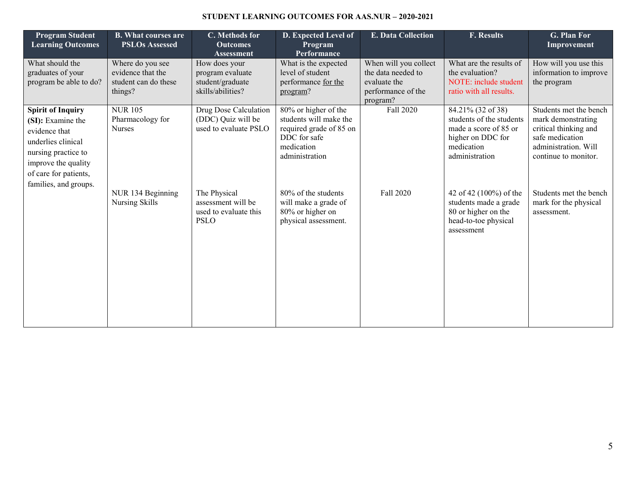### **STUDENT LEARNING OUTCOMES FOR AAS.NUR – 2020-2021**

| <b>Program Student</b><br><b>Learning Outcomes</b>                                                                                                                                   | <b>B. What courses are</b><br><b>PSLOs Assessed</b>                      | C. Methods for<br><b>Outcomes</b><br><b>Assessment</b>                     | D. Expected Level of<br>Program<br>Performance                                                                            | E. Data Collection                                                                            | <b>F. Results</b>                                                                                                           | G. Plan For<br>Improvement                                                                                                               |
|--------------------------------------------------------------------------------------------------------------------------------------------------------------------------------------|--------------------------------------------------------------------------|----------------------------------------------------------------------------|---------------------------------------------------------------------------------------------------------------------------|-----------------------------------------------------------------------------------------------|-----------------------------------------------------------------------------------------------------------------------------|------------------------------------------------------------------------------------------------------------------------------------------|
| What should the<br>graduates of your<br>program be able to do?                                                                                                                       | Where do you see<br>evidence that the<br>student can do these<br>things? | How does your<br>program evaluate<br>student/graduate<br>skills/abilities? | What is the expected<br>level of student<br>performance for the<br>program?                                               | When will you collect<br>the data needed to<br>evaluate the<br>performance of the<br>program? | What are the results of<br>the evaluation?<br>NOTE: include student<br>ratio with all results.                              | How will you use this<br>information to improve<br>the program                                                                           |
| <b>Spirit of Inquiry</b><br>(SI): Examine the<br>evidence that<br>underlies clinical<br>nursing practice to<br>improve the quality<br>of care for patients,<br>families, and groups. | <b>NUR105</b><br>Pharmacology for<br><b>Nurses</b>                       | Drug Dose Calculation<br>(DDC) Quiz will be<br>used to evaluate PSLO       | 80% or higher of the<br>students will make the<br>required grade of 85 on<br>DDC for safe<br>medication<br>administration | Fall 2020                                                                                     | 84.21% (32 of 38)<br>students of the students<br>made a score of 85 or<br>higher on DDC for<br>medication<br>administration | Students met the bench<br>mark demonstrating<br>critical thinking and<br>safe medication<br>administration. Will<br>continue to monitor. |
|                                                                                                                                                                                      | NUR 134 Beginning<br>Nursing Skills                                      | The Physical<br>assessment will be<br>used to evaluate this<br><b>PSLO</b> | 80% of the students<br>will make a grade of<br>80% or higher on<br>physical assessment.                                   | Fall 2020                                                                                     | 42 of 42 (100%) of the<br>students made a grade<br>80 or higher on the<br>head-to-toe physical<br>assessment                | Students met the bench<br>mark for the physical<br>assessment.                                                                           |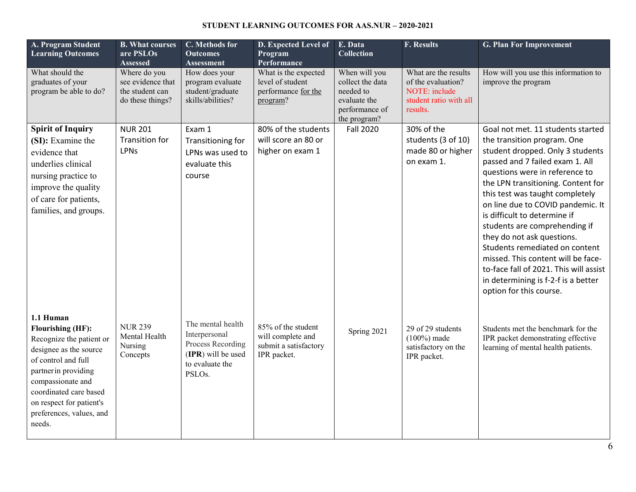### **STUDENT LEARNING OUTCOMES FOR AAS.NUR – 2020-2021**

| A. Program Student<br><b>Learning Outcomes</b>                                                                                                                                                                                                              | <b>B. What courses</b><br>are PSLOs<br><b>Assessed</b>                   | C. Methods for<br><b>Outcomes</b><br><b>Assessment</b>                                                                  | D. Expected Level of<br>Program<br>Performance                                  | E. Data<br><b>Collection</b>                                                                     | <b>F. Results</b>                                                                                        | <b>G. Plan For Improvement</b>                                                                                                                                                                                                                                                                                                                                                                                                                                                                                                                                             |
|-------------------------------------------------------------------------------------------------------------------------------------------------------------------------------------------------------------------------------------------------------------|--------------------------------------------------------------------------|-------------------------------------------------------------------------------------------------------------------------|---------------------------------------------------------------------------------|--------------------------------------------------------------------------------------------------|----------------------------------------------------------------------------------------------------------|----------------------------------------------------------------------------------------------------------------------------------------------------------------------------------------------------------------------------------------------------------------------------------------------------------------------------------------------------------------------------------------------------------------------------------------------------------------------------------------------------------------------------------------------------------------------------|
| What should the<br>graduates of your<br>program be able to do?                                                                                                                                                                                              | Where do you<br>see evidence that<br>the student can<br>do these things? | How does your<br>program evaluate<br>student/graduate<br>skills/abilities?                                              | What is the expected<br>level of student<br>performance for the<br>program?     | When will you<br>collect the data<br>needed to<br>evaluate the<br>performance of<br>the program? | What are the results<br>of the evaluation?<br><b>NOTE:</b> include<br>student ratio with all<br>results. | How will you use this information to<br>improve the program                                                                                                                                                                                                                                                                                                                                                                                                                                                                                                                |
| <b>Spirit of Inquiry</b><br>(SI): Examine the<br>evidence that<br>underlies clinical<br>nursing practice to<br>improve the quality<br>of care for patients,<br>families, and groups.                                                                        | <b>NUR 201</b><br><b>Transition for</b><br><b>LPNs</b>                   | Exam 1<br>Transitioning for<br>LPNs was used to<br>evaluate this<br>course                                              | 80% of the students<br>will score an 80 or<br>higher on exam 1                  | <b>Fall 2020</b>                                                                                 | 30% of the<br>students (3 of 10)<br>made 80 or higher<br>on exam 1.                                      | Goal not met. 11 students started<br>the transition program. One<br>student dropped. Only 3 students<br>passed and 7 failed exam 1. All<br>questions were in reference to<br>the LPN transitioning. Content for<br>this test was taught completely<br>on line due to COVID pandemic. It<br>is difficult to determine if<br>students are comprehending if<br>they do not ask questions.<br>Students remediated on content<br>missed. This content will be face-<br>to-face fall of 2021. This will assist<br>in determining is f-2-f is a better<br>option for this course. |
| 1.1 Human<br><b>Flourishing (HF):</b><br>Recognize the patient or<br>designee as the source<br>of control and full<br>partner in providing<br>compassionate and<br>coordinated care based<br>on respect for patient's<br>preferences, values, and<br>needs. | <b>NUR 239</b><br>Mental Health<br>Nursing<br>Concepts                   | The mental health<br>Interpersonal<br>Process Recording<br>(IPR) will be used<br>to evaluate the<br>PSLO <sub>s</sub> . | 85% of the student<br>will complete and<br>submit a satisfactory<br>IPR packet. | Spring 2021                                                                                      | 29 of 29 students<br>$(100\%)$ made<br>satisfactory on the<br>IPR packet.                                | Students met the benchmark for the<br>IPR packet demonstrating effective<br>learning of mental health patients.                                                                                                                                                                                                                                                                                                                                                                                                                                                            |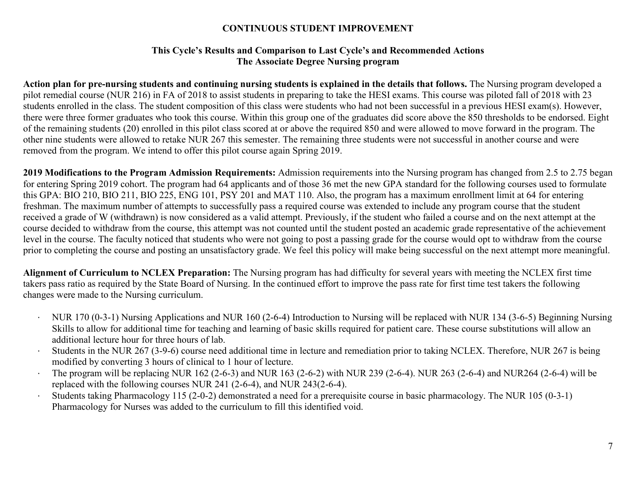# **CONTINUOUS STUDENT IMPROVEMENT**

## **This Cycle's Results and Comparison to Last Cycle's and Recommended Actions The Associate Degree Nursing program**

**Action plan for pre-nursing students and continuing nursing students is explained in the details that follows.** The Nursing program developed a pilot remedial course (NUR 216) in FA of 2018 to assist students in preparing to take the HESI exams. This course was piloted fall of 2018 with 23 students enrolled in the class. The student composition of this class were students who had not been successful in a previous HESI exam(s). However, there were three former graduates who took this course. Within this group one of the graduates did score above the 850 thresholds to be endorsed. Eight of the remaining students (20) enrolled in this pilot class scored at or above the required 850 and were allowed to move forward in the program. The other nine students were allowed to retake NUR 267 this semester. The remaining three students were not successful in another course and were removed from the program. We intend to offer this pilot course again Spring 2019.

**2019 Modifications to the Program Admission Requirements:** Admission requirements into the Nursing program has changed from 2.5 to 2.75 began for entering Spring 2019 cohort. The program had 64 applicants and of those 36 met the new GPA standard for the following courses used to formulate this GPA: BIO 210, BIO 211, BIO 225, ENG 101, PSY 201 and MAT 110. Also, the program has a maximum enrollment limit at 64 for entering freshman. The maximum number of attempts to successfully pass a required course was extended to include any program course that the student received a grade of W (withdrawn) is now considered as a valid attempt. Previously, if the student who failed a course and on the next attempt at the course decided to withdraw from the course, this attempt was not counted until the student posted an academic grade representative of the achievement level in the course. The faculty noticed that students who were not going to post a passing grade for the course would opt to withdraw from the course prior to completing the course and posting an unsatisfactory grade. We feel this policy will make being successful on the next attempt more meaningful.

**Alignment of Curriculum to NCLEX Preparation:** The Nursing program has had difficulty for several years with meeting the NCLEX first time takers pass ratio as required by the State Board of Nursing. In the continued effort to improve the pass rate for first time test takers the following changes were made to the Nursing curriculum.

- · NUR 170 (0-3-1) Nursing Applications and NUR 160 (2-6-4) Introduction to Nursing will be replaced with NUR 134 (3-6-5) Beginning Nursing Skills to allow for additional time for teaching and learning of basic skills required for patient care. These course substitutions will allow an additional lecture hour for three hours of lab.
- · Students in the NUR 267 (3-9-6) course need additional time in lecture and remediation prior to taking NCLEX. Therefore, NUR 267 is being modified by converting 3 hours of clinical to 1 hour of lecture.
- · The program will be replacing NUR 162 (2-6-3) and NUR 163 (2-6-2) with NUR 239 (2-6-4). NUR 263 (2-6-4) and NUR264 (2-6-4) will be replaced with the following courses NUR 241 (2-6-4), and NUR 243(2-6-4).
- · Students taking Pharmacology 115 (2-0-2) demonstrated a need for a prerequisite course in basic pharmacology. The NUR 105 (0-3-1) Pharmacology for Nurses was added to the curriculum to fill this identified void.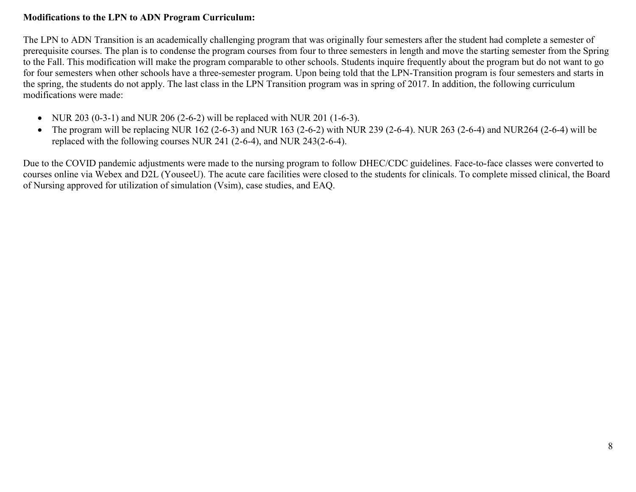# **Modifications to the LPN to ADN Program Curriculum:**

The LPN to ADN Transition is an academically challenging program that was originally four semesters after the student had complete a semester of prerequisite courses. The plan is to condense the program courses from four to three semesters in length and move the starting semester from the Spring to the Fall. This modification will make the program comparable to other schools. Students inquire frequently about the program but do not want to go for four semesters when other schools have a three-semester program. Upon being told that the LPN-Transition program is four semesters and starts in the spring, the students do not apply. The last class in the LPN Transition program was in spring of 2017. In addition, the following curriculum modifications were made:

- NUR 203 (0-3-1) and NUR 206 (2-6-2) will be replaced with NUR 201 (1-6-3).
- The program will be replacing NUR 162 (2-6-3) and NUR 163 (2-6-2) with NUR 239 (2-6-4). NUR 263 (2-6-4) and NUR264 (2-6-4) will be replaced with the following courses NUR 241 (2-6-4), and NUR 243(2-6-4).

Due to the COVID pandemic adjustments were made to the nursing program to follow DHEC/CDC guidelines. Face-to-face classes were converted to courses online via Webex and D2L (YouseeU). The acute care facilities were closed to the students for clinicals. To complete missed clinical, the Board of Nursing approved for utilization of simulation (Vsim), case studies, and EAQ.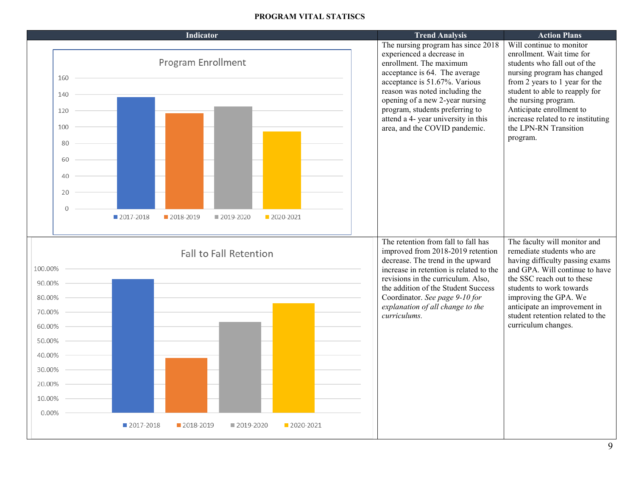### **PROGRAM VITAL STATISCS**

|                                                                                                            |                          |                      |             | <b>Indicator</b>                  |                               |             | <b>Trend Analysis</b>                                                                                                                                                                                                                                                                                                                        | <b>Action Plans</b>                                                                                                                                                                                                                                                                                                     |
|------------------------------------------------------------------------------------------------------------|--------------------------|----------------------|-------------|-----------------------------------|-------------------------------|-------------|----------------------------------------------------------------------------------------------------------------------------------------------------------------------------------------------------------------------------------------------------------------------------------------------------------------------------------------------|-------------------------------------------------------------------------------------------------------------------------------------------------------------------------------------------------------------------------------------------------------------------------------------------------------------------------|
|                                                                                                            | 160<br>140<br>120<br>100 | 80<br>60<br>40<br>20 | ■ 2017-2018 | Program Enrollment<br>■ 2018-2019 | ■ 2019-2020                   | 2020-2021   | The nursing program has since 2018<br>experienced a decrease in<br>enrollment. The maximum<br>acceptance is 64. The average<br>acceptance is 51.67%. Various<br>reason was noted including the<br>opening of a new 2-year nursing<br>program, students preferring to<br>attend a 4- year university in this<br>area, and the COVID pandemic. | Will continue to monitor<br>enrollment. Wait time for<br>students who fall out of the<br>nursing program has changed<br>from 2 years to 1 year for the<br>student to able to reapply for<br>the nursing program.<br>Anticipate enrollment to<br>increase related to re instituting<br>the LPN-RN Transition<br>program. |
| 100.00%<br>90.00%<br>80.00%<br>70.00%<br>60.00%<br>50.00%<br>40.00%<br>30.00%<br>20.00%<br>10.00%<br>0.00% |                          |                      |             |                                   | <b>Fall to Fall Retention</b> |             | The retention from fall to fall has<br>improved from 2018-2019 retention<br>decrease. The trend in the upward<br>increase in retention is related to the<br>revisions in the curriculum. Also,<br>the addition of the Student Success<br>Coordinator. See page 9-10 for<br>explanation of all change to the<br>curriculums.                  | The faculty will monitor and<br>remediate students who are<br>having difficulty passing exams<br>and GPA. Will continue to have<br>the SSC reach out to these<br>students to work towards<br>improving the GPA. We<br>anticipate an improvement in<br>student retention related to the<br>curriculum changes.           |
|                                                                                                            |                          |                      | ■ 2017-2018 | 2018-2019                         | ■ 2019-2020                   | ■ 2020-2021 |                                                                                                                                                                                                                                                                                                                                              |                                                                                                                                                                                                                                                                                                                         |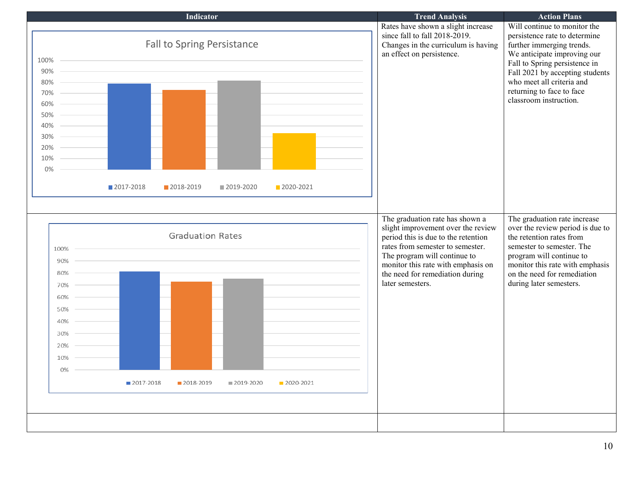|          |             | <b>Indicator</b>                  |             |           | <b>Trend Analysis</b>                                              | <b>Action Plans</b>                                         |
|----------|-------------|-----------------------------------|-------------|-----------|--------------------------------------------------------------------|-------------------------------------------------------------|
|          |             |                                   |             |           | Rates have shown a slight increase                                 | Will continue to monitor the                                |
|          |             |                                   |             |           | since fall to fall 2018-2019.                                      | persistence rate to determine                               |
|          |             | <b>Fall to Spring Persistance</b> |             |           | Changes in the curriculum is having                                | further immerging trends.                                   |
| 100%     |             |                                   |             |           | an effect on persistence.                                          | We anticipate improving our                                 |
|          |             |                                   |             |           |                                                                    | Fall to Spring persistence in                               |
| 90%      |             |                                   |             |           |                                                                    | Fall 2021 by accepting students                             |
| 80%      |             |                                   |             |           |                                                                    | who meet all criteria and<br>returning to face to face      |
| $70\%$ – |             |                                   |             |           |                                                                    | classroom instruction.                                      |
| 60%      |             |                                   |             |           |                                                                    |                                                             |
| 50%      |             |                                   |             |           |                                                                    |                                                             |
| 40%      |             |                                   |             |           |                                                                    |                                                             |
| 30%      |             |                                   |             |           |                                                                    |                                                             |
| 20%      |             |                                   |             |           |                                                                    |                                                             |
| 10%      |             |                                   |             |           |                                                                    |                                                             |
| 0%       |             |                                   |             |           |                                                                    |                                                             |
|          |             |                                   |             |           |                                                                    |                                                             |
|          | 2017-2018   | 2018-2019                         | ■ 2019-2020 | 2020-2021 |                                                                    |                                                             |
|          |             |                                   |             |           |                                                                    |                                                             |
|          |             |                                   |             |           |                                                                    |                                                             |
|          |             |                                   |             |           | The graduation rate has shown a                                    | The graduation rate increase                                |
|          |             | <b>Graduation Rates</b>           |             |           | slight improvement over the review                                 | over the review period is due to                            |
|          |             |                                   |             |           | period this is due to the retention                                | the retention rates from                                    |
| 100%     |             |                                   |             |           | rates from semester to semester.                                   | semester to semester. The                                   |
| 90%      |             |                                   |             |           | The program will continue to<br>monitor this rate with emphasis on | program will continue to<br>monitor this rate with emphasis |
| 80%      |             |                                   |             |           | the need for remediation during                                    | on the need for remediation                                 |
| 70%      |             |                                   |             |           | later semesters.                                                   | during later semesters.                                     |
|          |             |                                   |             |           |                                                                    |                                                             |
| 60%      |             |                                   |             |           |                                                                    |                                                             |
| 50%      |             |                                   |             |           |                                                                    |                                                             |
| 40%      |             |                                   |             |           |                                                                    |                                                             |
| 30%      |             |                                   |             |           |                                                                    |                                                             |
| 20%      |             |                                   |             |           |                                                                    |                                                             |
| 10%      |             |                                   |             |           |                                                                    |                                                             |
|          |             |                                   |             |           |                                                                    |                                                             |
| 0%       |             |                                   |             |           |                                                                    |                                                             |
|          | ■ 2017-2018 | ■ 2018-2019                       | ■ 2019-2020 | 2020-2021 |                                                                    |                                                             |
|          |             |                                   |             |           |                                                                    |                                                             |
|          |             |                                   |             |           |                                                                    |                                                             |
|          |             |                                   |             |           |                                                                    |                                                             |
|          |             |                                   |             |           |                                                                    |                                                             |